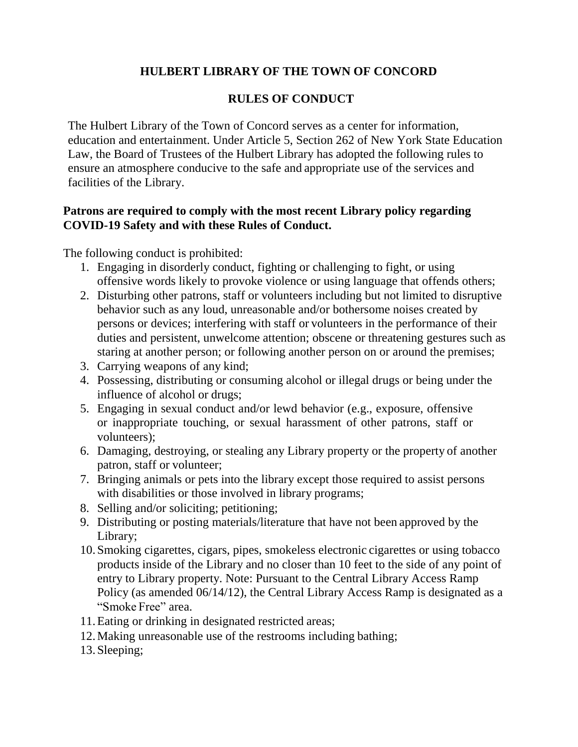## **HULBERT LIBRARY OF THE TOWN OF CONCORD**

## **RULES OF CONDUCT**

The Hulbert Library of the Town of Concord serves as a center for information, education and entertainment. Under Article 5, Section 262 of New York State Education Law, the Board of Trustees of the Hulbert Library has adopted the following rules to ensure an atmosphere conducive to the safe and appropriate use of the services and facilities of the Library.

## **Patrons are required to comply with the most recent Library policy regarding COVID-19 Safety and with these Rules of Conduct.**

The following conduct is prohibited:

- 1. Engaging in disorderly conduct, fighting or challenging to fight, or using offensive words likely to provoke violence or using language that offends others;
- 2. Disturbing other patrons, staff or volunteers including but not limited to disruptive behavior such as any loud, unreasonable and/or bothersome noises created by persons or devices; interfering with staff or volunteers in the performance of their duties and persistent, unwelcome attention; obscene or threatening gestures such as staring at another person; or following another person on or around the premises;
- 3. Carrying weapons of any kind;
- 4. Possessing, distributing or consuming alcohol or illegal drugs or being under the influence of alcohol or drugs;
- 5. Engaging in sexual conduct and/or lewd behavior (e.g., exposure, offensive or inappropriate touching, or sexual harassment of other patrons, staff or volunteers);
- 6. Damaging, destroying, or stealing any Library property or the property of another patron, staff or volunteer;
- 7. Bringing animals or pets into the library except those required to assist persons with disabilities or those involved in library programs;
- 8. Selling and/or soliciting; petitioning;
- 9. Distributing or posting materials/literature that have not been approved by the Library;
- 10.Smoking cigarettes, cigars, pipes, smokeless electronic cigarettes or using tobacco products inside of the Library and no closer than 10 feet to the side of any point of entry to Library property. Note: Pursuant to the Central Library Access Ramp Policy (as amended 06/14/12), the Central Library Access Ramp is designated as a "Smoke Free" area.
- 11.Eating or drinking in designated restricted areas;
- 12.Making unreasonable use of the restrooms including bathing;
- 13.Sleeping;